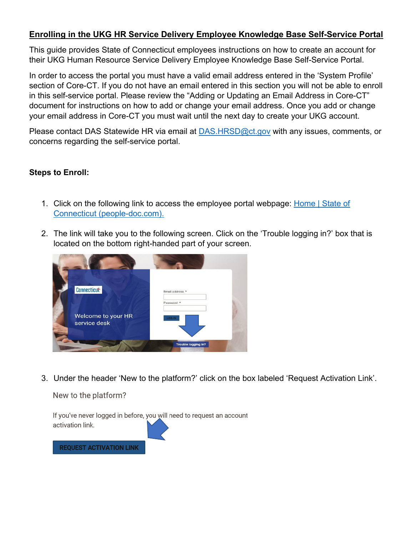## **Enrolling in the UKG HR Service Delivery Employee Knowledge Base Self-Service Portal**

This guide provides State of Connecticut employees instructions on how to create an account for their UKG Human Resource Service Delivery Employee Knowledge Base Self-Service Portal.

In order to access the portal you must have a valid email address entered in the 'System Profile' section of Core-CT. If you do not have an email entered in this section you will not be able to enroll in this self-service portal. Please review the "Adding or Updating an Email Address in Core-CT" document for instructions on how to add or change your email address. Once you add or change your email address in Core-CT you must wait until the next day to create your UKG account.

Please contact DAS Statewide HR via email at [DAS.HRSD@ct.gov](mailto:DAS.HRSD@ct.gov) with any issues, comments, or concerns regarding the self-service portal.

## **Steps to Enroll:**

- 1. Click on the following link to access the employee portal webpage: Home | [State of](https://ct.employee.us.people-doc.com/home) [Connecticut \(people-doc.com\).](https://ct.employee.us.people-doc.com/home)
- 2. The link will take you to the following screen. Click on the 'Trouble logging in?' box that is located on the bottom right-handed part of your screen.



3. Under the header 'New to the platform?' click on the box labeled 'Request Activation Link'.

New to the platform?



**REQUEST ACTIVATION LINK**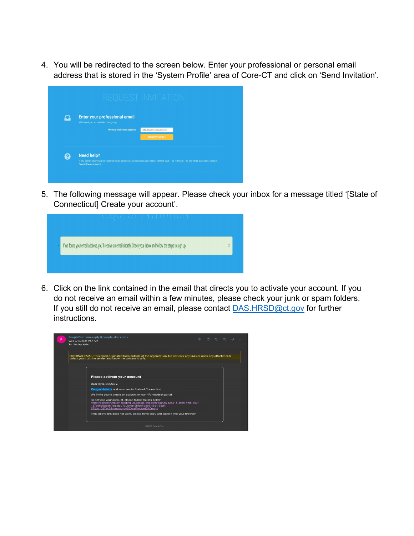4. You will be redirected to the screen below. Enter your professional or personal email address that is stored in the 'System Profile' area of Core-CT and click on 'Send Invitation'.

|  | <b>Enter your professional email</b>                                                                                                                                |                          |  |  |
|--|---------------------------------------------------------------------------------------------------------------------------------------------------------------------|--------------------------|--|--|
|  | We'll send you an invitation to sign up.                                                                                                                            |                          |  |  |
|  | Professional email address:                                                                                                                                         | john.doe@mycompany.com   |  |  |
|  |                                                                                                                                                                     | <b>SEND INVITATION »</b> |  |  |
|  |                                                                                                                                                                     |                          |  |  |
|  |                                                                                                                                                                     |                          |  |  |
|  | Need help?                                                                                                                                                          |                          |  |  |
|  | If you don't know your professional email address or can't access your inbox, contact your IT or HR team. For any other questions, contact<br>PeopleDoc assistance. |                          |  |  |

5. The following message will appear. Please check your inbox for a message titled '[State of Connecticut] Create your account'.



6. Click on the link contained in the email that directs you to activate your account. If you do not receive an email within a few minutes, please check your junk or spam folders. If you still do not receive an email, please contact **[DAS.HRSD@ct.gov](mailto:DAS.HRSD@ct.gov)** for further instructions.